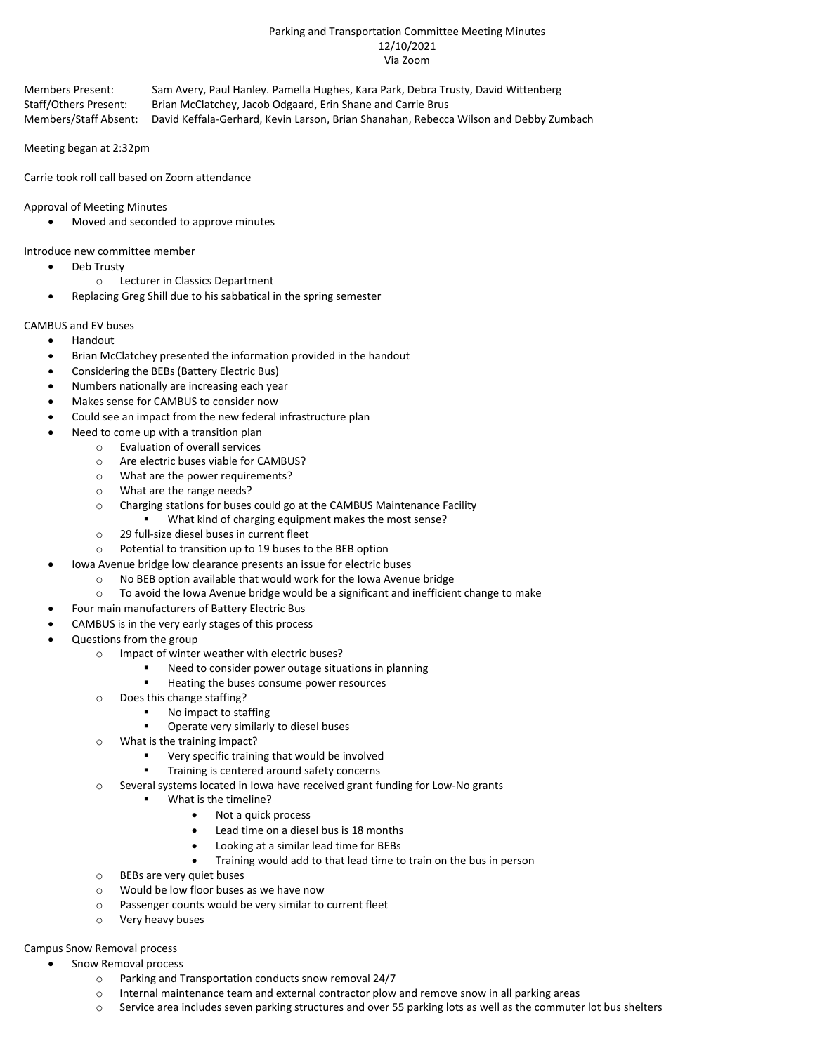## Parking and Transportation Committee Meeting Minutes 12/10/2021 Via Zoom

Members Present: Sam Avery, Paul Hanley. Pamella Hughes, Kara Park, Debra Trusty, David Wittenberg Staff/Others Present: Brian McClatchey, Jacob Odgaard, Erin Shane and Carrie Brus Members/Staff Absent: David Keffala-Gerhard, Kevin Larson, Brian Shanahan, Rebecca Wilson and Debby Zumbach

Meeting began at 2:32pm

Carrie took roll call based on Zoom attendance

Approval of Meeting Minutes

• Moved and seconded to approve minutes

Introduce new committee member

- Deb Trusty
	- o Lecturer in Classics Department
	- Replacing Greg Shill due to his sabbatical in the spring semester

# CAMBUS and EV buses

- Handout
- Brian McClatchey presented the information provided in the handout
- Considering the BEBs (Battery Electric Bus)
- Numbers nationally are increasing each year
- Makes sense for CAMBUS to consider now
- Could see an impact from the new federal infrastructure plan
	- Need to come up with a transition plan
		- o Evaluation of overall services
		- o Are electric buses viable for CAMBUS?
		- o What are the power requirements?
		- o What are the range needs?
		- o Charging stations for buses could go at the CAMBUS Maintenance Facility
			- What kind of charging equipment makes the most sense?
		- o 29 full-size diesel buses in current fleet
		- o Potential to transition up to 19 buses to the BEB option
	- Iowa Avenue bridge low clearance presents an issue for electric buses
		- $\circ$  No BEB option available that would work for the Iowa Avenue bridge  $\circ$  To avoid the Iowa Avenue bridge would be a significant and inefficier
		- To avoid the Iowa Avenue bridge would be a significant and inefficient change to make
	- Four main manufacturers of Battery Electric Bus
- CAMBUS is in the very early stages of this process
- Questions from the group
	- o Impact of winter weather with electric buses?
		- Need to consider power outage situations in planning
		- **Heating the buses consume power resources**
	- o Does this change staffing?
		- No impact to staffing
		- Operate very similarly to diesel buses
	- o What is the training impact?
		- Very specific training that would be involved
		- Training is centered around safety concerns
	- $\circ$  Several systems located in Iowa have received grant funding for Low-No grants
		- What is the timeline?
			- Not a quick process
			- Lead time on a diesel bus is 18 months
			- Looking at a similar lead time for BEBs
			- Training would add to that lead time to train on the bus in person
	- o BEBs are very quiet buses
	- o Would be low floor buses as we have now
	- o Passenger counts would be very similar to current fleet
	- o Very heavy buses

## Campus Snow Removal process

- Snow Removal process
	- o Parking and Transportation conducts snow removal 24/7
	- o Internal maintenance team and external contractor plow and remove snow in all parking areas
	- o Service area includes seven parking structures and over 55 parking lots as well as the commuter lot bus shelters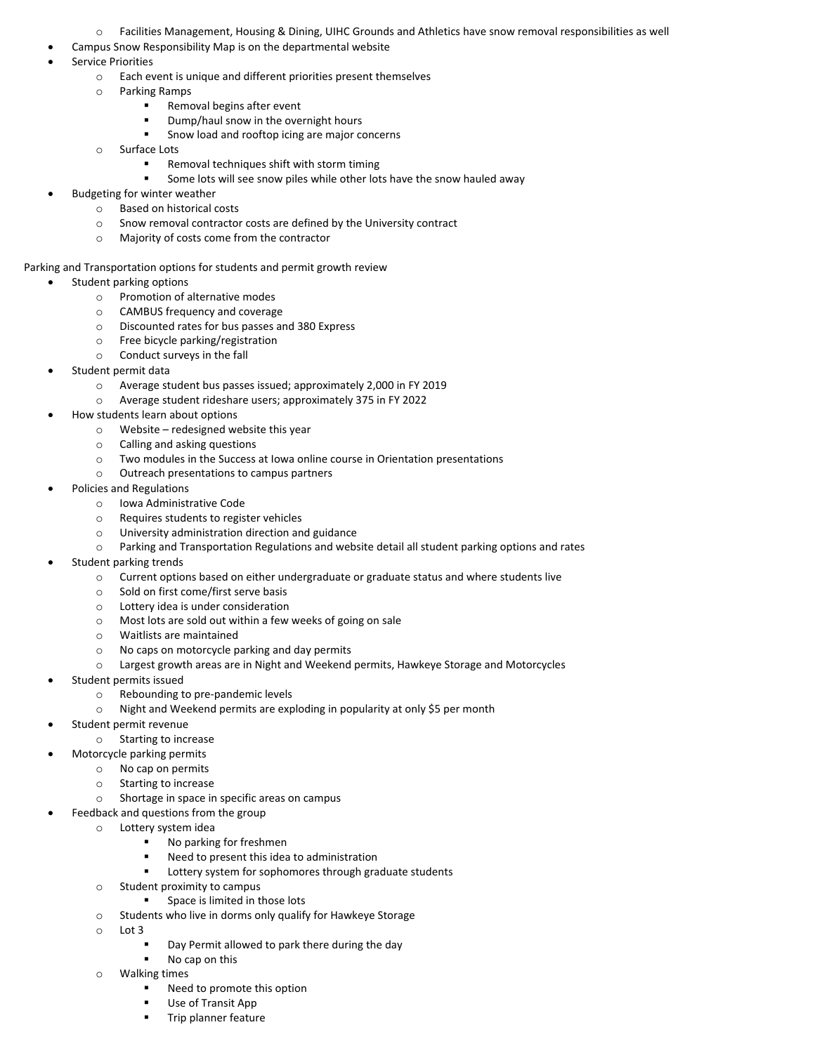- o Facilities Management, Housing & Dining, UIHC Grounds and Athletics have snow removal responsibilities as well
- Campus Snow Responsibility Map is on the departmental website
- Service Priorities
	- o Each event is unique and different priorities present themselves
	- o Parking Ramps
		- Removal begins after event
		- Dump/haul snow in the overnight hours
		- Snow load and rooftop icing are major concerns
	- o Surface Lots
		- **Removal techniques shift with storm timing**
		- Some lots will see snow piles while other lots have the snow hauled away
- Budgeting for winter weather
	- o Based on historical costs
	- $\circ$  Snow removal contractor costs are defined by the University contract
	- o Majority of costs come from the contractor

#### Parking and Transportation options for students and permit growth review

- Student parking options
	- o Promotion of alternative modes
	- $\circ$  CAMBUS frequency and coverage<br> $\circ$  Discounted rates for bus passes and
	- Discounted rates for bus passes and 380 Express
	- o Free bicycle parking/registration
	- o Conduct surveys in the fall
- Student permit data
	- o Average student bus passes issued; approximately 2,000 in FY 2019
	- o Average student rideshare users; approximately 375 in FY 2022
- How students learn about options
	- o Website redesigned website this year
	- o Calling and asking questions
	- o Two modules in the Success at Iowa online course in Orientation presentations
	- o Outreach presentations to campus partners
	- Policies and Regulations
		- o Iowa Administrative Code
		- o Requires students to register vehicles
		- o University administration direction and guidance
		- o Parking and Transportation Regulations and website detail all student parking options and rates
- Student parking trends
	- o Current options based on either undergraduate or graduate status and where students live
	- o Sold on first come/first serve basis
	- o Lottery idea is under consideration
	- $\circ$  Most lots are sold out within a few weeks of going on sale  $\circ$  Waitlists are maintained
	- Waitlists are maintained
	- o No caps on motorcycle parking and day permits
	- o Largest growth areas are in Night and Weekend permits, Hawkeye Storage and Motorcycles
- Student permits issued
	- o Rebounding to pre-pandemic levels
	- o Night and Weekend permits are exploding in popularity at only \$5 per month
- Student permit revenue
	- o Starting to increase
- Motorcycle parking permits
	- o No cap on permits
	- o Starting to increase
	- o Shortage in space in specific areas on campus
	- Feedback and questions from the group
		- o Lottery system idea
			- No parking for freshmen
			- Need to present this idea to administration
			- Lottery system for sophomores through graduate students
		- o Student proximity to campus
			- Space is limited in those lots
		- o Students who live in dorms only qualify for Hawkeye Storage
		- o Lot 3
			- Day Permit allowed to park there during the day
			- No cap on this
		- o Walking times
			- Need to promote this option
			- Use of Transit App
			- Trip planner feature